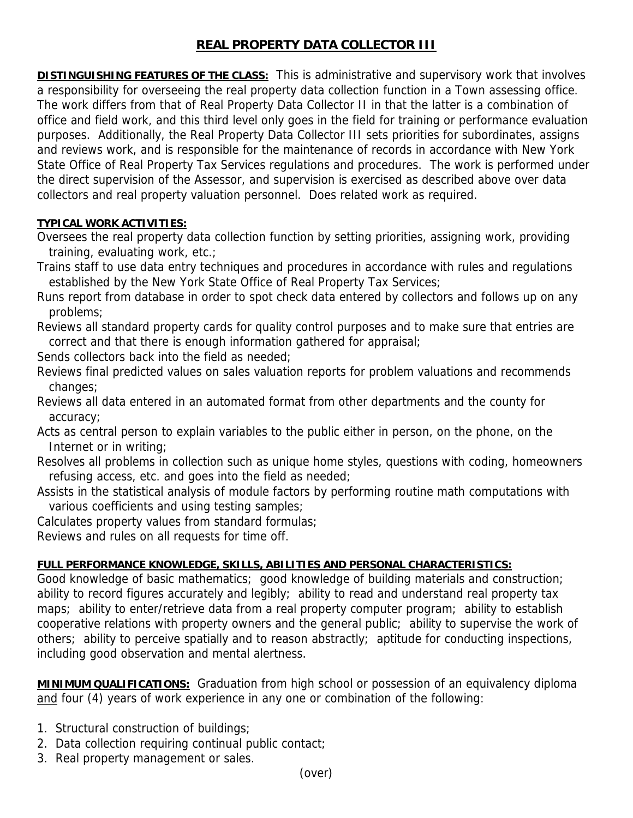## **REAL PROPERTY DATA COLLECTOR III**

**DISTINGUISHING FEATURES OF THE CLASS:** This is administrative and supervisory work that involves a responsibility for overseeing the real property data collection function in a Town assessing office. The work differs from that of Real Property Data Collector II in that the latter is a combination of office and field work, and this third level only goes in the field for training or performance evaluation purposes. Additionally, the Real Property Data Collector III sets priorities for subordinates, assigns and reviews work, and is responsible for the maintenance of records in accordance with New York State Office of Real Property Tax Services regulations and procedures. The work is performed under the direct supervision of the Assessor, and supervision is exercised as described above over data collectors and real property valuation personnel. Does related work as required.

## **TYPICAL WORK ACTIVITIES:**

Oversees the real property data collection function by setting priorities, assigning work, providing training, evaluating work, etc.;

Trains staff to use data entry techniques and procedures in accordance with rules and regulations established by the New York State Office of Real Property Tax Services;

Runs report from database in order to spot check data entered by collectors and follows up on any problems;

Reviews all standard property cards for quality control purposes and to make sure that entries are correct and that there is enough information gathered for appraisal;

Sends collectors back into the field as needed;

Reviews final predicted values on sales valuation reports for problem valuations and recommends changes;

Reviews all data entered in an automated format from other departments and the county for accuracy;

Acts as central person to explain variables to the public either in person, on the phone, on the Internet or in writing;

Resolves all problems in collection such as unique home styles, questions with coding, homeowners refusing access, etc. and goes into the field as needed;

Assists in the statistical analysis of module factors by performing routine math computations with various coefficients and using testing samples;

Calculates property values from standard formulas;

Reviews and rules on all requests for time off.

## **FULL PERFORMANCE KNOWLEDGE, SKILLS, ABILITIES AND PERSONAL CHARACTERISTICS:**

Good knowledge of basic mathematics; good knowledge of building materials and construction; ability to record figures accurately and legibly; ability to read and understand real property tax maps; ability to enter/retrieve data from a real property computer program; ability to establish cooperative relations with property owners and the general public; ability to supervise the work of others; ability to perceive spatially and to reason abstractly; aptitude for conducting inspections, including good observation and mental alertness.

**MINIMUM QUALIFICATIONS:** Graduation from high school or possession of an equivalency diploma and four (4) years of work experience in any one or combination of the following:

- 1. Structural construction of buildings;
- 2. Data collection requiring continual public contact;
- 3. Real property management or sales.